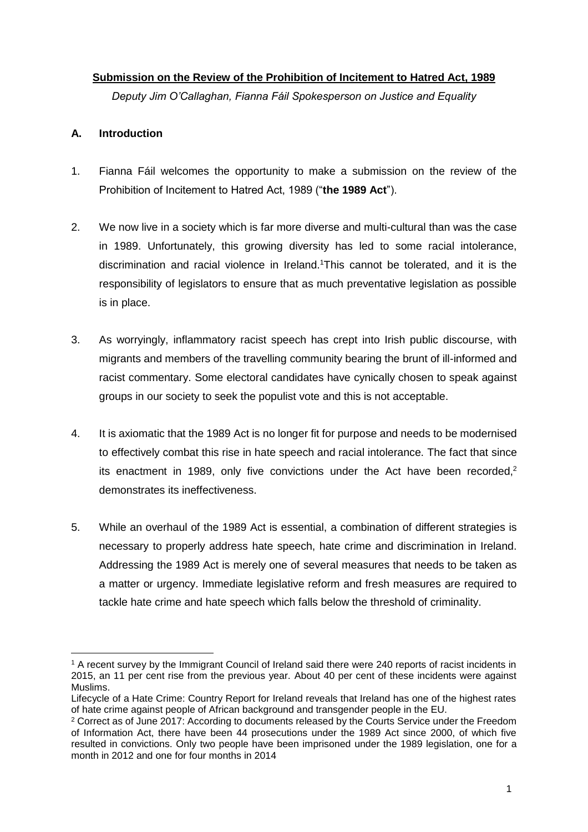#### **Submission on the Review of the Prohibition of Incitement to Hatred Act, 1989**

*Deputy Jim O'Callaghan, Fianna Fáil Spokesperson on Justice and Equality*

#### **A. Introduction**

 $\overline{a}$ 

- 1. Fianna Fáil welcomes the opportunity to make a submission on the review of the Prohibition of Incitement to Hatred Act, 1989 ("**the 1989 Act**").
- 2. We now live in a society which is far more diverse and multi-cultural than was the case in 1989. Unfortunately, this growing diversity has led to some racial intolerance, discrimination and racial violence in Ireland. <sup>1</sup>This cannot be tolerated, and it is the responsibility of legislators to ensure that as much preventative legislation as possible is in place.
- 3. As worryingly, inflammatory racist speech has crept into Irish public discourse, with migrants and members of the travelling community bearing the brunt of ill-informed and racist commentary. Some electoral candidates have cynically chosen to speak against groups in our society to seek the populist vote and this is not acceptable.
- 4. It is axiomatic that the 1989 Act is no longer fit for purpose and needs to be modernised to effectively combat this rise in hate speech and racial intolerance. The fact that since its enactment in 1989, only five convictions under the Act have been recorded,<sup>2</sup> demonstrates its ineffectiveness.
- 5. While an overhaul of the 1989 Act is essential, a combination of different strategies is necessary to properly address hate speech, hate crime and discrimination in Ireland. Addressing the 1989 Act is merely one of several measures that needs to be taken as a matter or urgency. Immediate legislative reform and fresh measures are required to tackle hate crime and hate speech which falls below the threshold of criminality.

<sup>&</sup>lt;sup>1</sup> A recent survey by the Immigrant Council of Ireland said there were 240 reports of racist incidents in 2015, an 11 per cent rise from the previous year. About 40 per cent of these incidents were against Muslims.

Lifecycle of a Hate Crime: Country Report for Ireland reveals that Ireland has one of the highest rates of hate crime against people of African background and transgender people in the EU.

<sup>2</sup> Correct as of June 2017: According to documents released by the Courts Service under the Freedom of Information Act, there have been 44 prosecutions under the 1989 Act since 2000, of which five resulted in convictions. Only two people have been imprisoned under the 1989 legislation, one for a month in 2012 and one for four months in 2014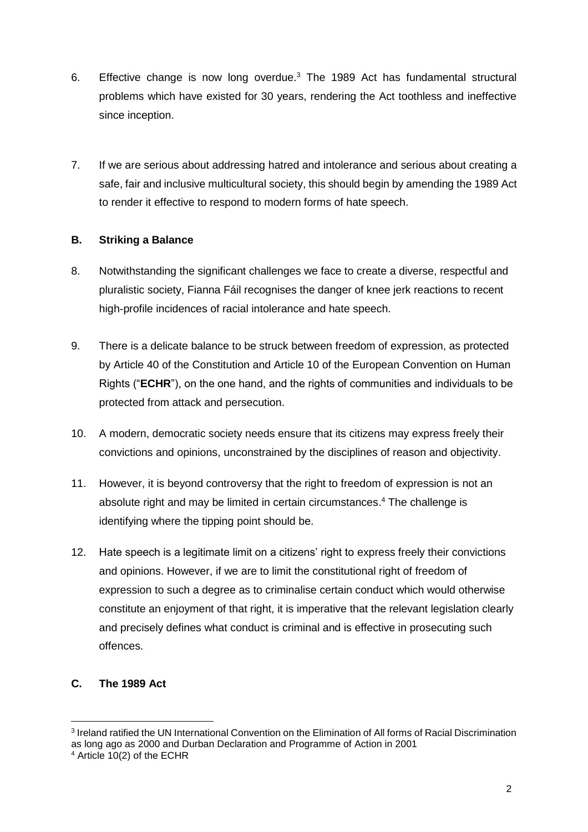- 6. Effective change is now long overdue.<sup>3</sup> The 1989 Act has fundamental structural problems which have existed for 30 years, rendering the Act toothless and ineffective since inception.
- 7. If we are serious about addressing hatred and intolerance and serious about creating a safe, fair and inclusive multicultural society, this should begin by amending the 1989 Act to render it effective to respond to modern forms of hate speech.

# **B. Striking a Balance**

- 8. Notwithstanding the significant challenges we face to create a diverse, respectful and pluralistic society, Fianna Fáil recognises the danger of knee jerk reactions to recent high-profile incidences of racial intolerance and hate speech.
- 9. There is a delicate balance to be struck between freedom of expression, as protected by Article 40 of the Constitution and Article 10 of the European Convention on Human Rights ("**ECHR**"), on the one hand, and the rights of communities and individuals to be protected from attack and persecution.
- 10. A modern, democratic society needs ensure that its citizens may express freely their convictions and opinions, unconstrained by the disciplines of reason and objectivity.
- 11. However, it is beyond controversy that the right to freedom of expression is not an absolute right and may be limited in certain circumstances. <sup>4</sup> The challenge is identifying where the tipping point should be.
- 12. Hate speech is a legitimate limit on a citizens' right to express freely their convictions and opinions. However, if we are to limit the constitutional right of freedom of expression to such a degree as to criminalise certain conduct which would otherwise constitute an enjoyment of that right, it is imperative that the relevant legislation clearly and precisely defines what conduct is criminal and is effective in prosecuting such offences.

# **C. The 1989 Act**

 $\overline{a}$ 

<sup>3</sup> Ireland ratified the UN International Convention on the Elimination of All forms of Racial Discrimination as long ago as 2000 and Durban Declaration and Programme of Action in 2001

<sup>4</sup> Article 10(2) of the ECHR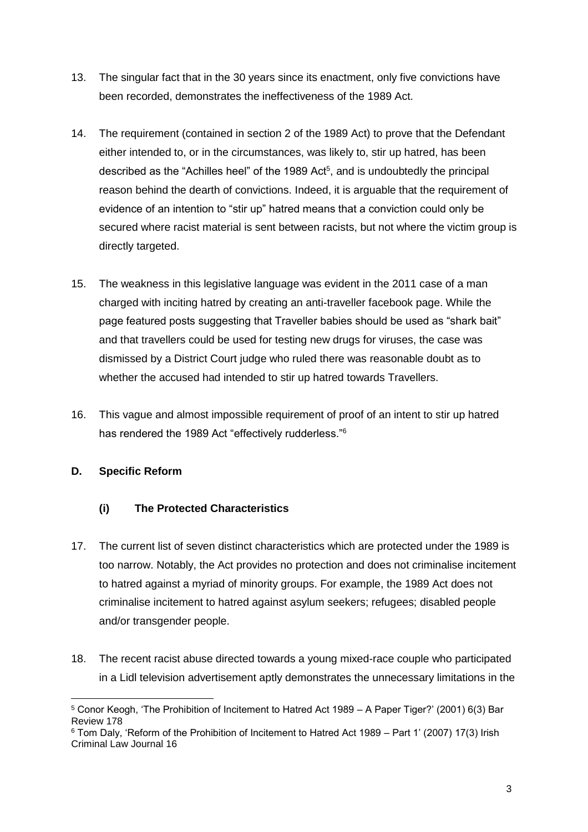- 13. The singular fact that in the 30 years since its enactment, only five convictions have been recorded, demonstrates the ineffectiveness of the 1989 Act.
- 14. The requirement (contained in section 2 of the 1989 Act) to prove that the Defendant either intended to, or in the circumstances, was likely to, stir up hatred, has been described as the "Achilles heel" of the 1989 Act<sup>5</sup>, and is undoubtedly the principal reason behind the dearth of convictions. Indeed, it is arguable that the requirement of evidence of an intention to "stir up" hatred means that a conviction could only be secured where racist material is sent between racists, but not where the victim group is directly targeted.
- 15. The weakness in this legislative language was evident in the 2011 case of a man charged with inciting hatred by creating an anti-traveller facebook page. While the page featured posts suggesting that Traveller babies should be used as "shark bait" and that travellers could be used for testing new drugs for viruses, the case was dismissed by a District Court judge who ruled there was reasonable doubt as to whether the accused had intended to stir up hatred towards Travellers.
- 16. This vague and almost impossible requirement of proof of an intent to stir up hatred has rendered the 1989 Act "effectively rudderless."<sup>6</sup>

# **D. Specific Reform**

### **(i) The Protected Characteristics**

- 17. The current list of seven distinct characteristics which are protected under the 1989 is too narrow. Notably, the Act provides no protection and does not criminalise incitement to hatred against a myriad of minority groups. For example, the 1989 Act does not criminalise incitement to hatred against asylum seekers; refugees; disabled people and/or transgender people.
- 18. The recent racist abuse directed towards a young mixed-race couple who participated in a Lidl television advertisement aptly demonstrates the unnecessary limitations in the

 $\overline{a}$ <sup>5</sup> Conor Keogh, 'The Prohibition of Incitement to Hatred Act 1989 – A Paper Tiger?' (2001) 6(3) Bar Review 178

<sup>6</sup> Tom Daly, 'Reform of the Prohibition of Incitement to Hatred Act 1989 – Part 1' (2007) 17(3) Irish Criminal Law Journal 16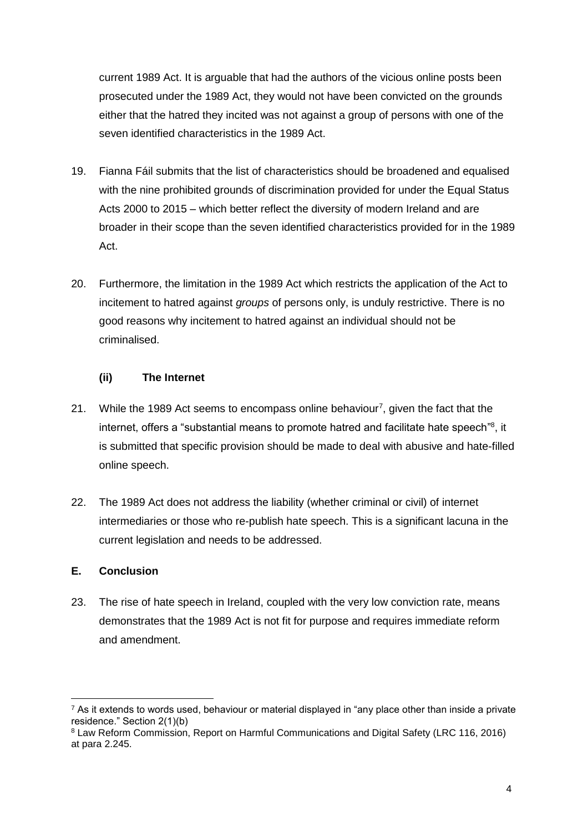current 1989 Act. It is arguable that had the authors of the vicious online posts been prosecuted under the 1989 Act, they would not have been convicted on the grounds either that the hatred they incited was not against a group of persons with one of the seven identified characteristics in the 1989 Act.

- 19. Fianna Fáil submits that the list of characteristics should be broadened and equalised with the nine prohibited grounds of discrimination provided for under the Equal Status Acts 2000 to 2015 – which better reflect the diversity of modern Ireland and are broader in their scope than the seven identified characteristics provided for in the 1989 Act.
- 20. Furthermore, the limitation in the 1989 Act which restricts the application of the Act to incitement to hatred against *groups* of persons only, is unduly restrictive. There is no good reasons why incitement to hatred against an individual should not be criminalised.

### **(ii) The Internet**

- 21. While the 1989 Act seems to encompass online behaviour<sup>7</sup>, given the fact that the internet, offers a "substantial means to promote hatred and facilitate hate speech"<sup>8</sup>, it is submitted that specific provision should be made to deal with abusive and hate-filled online speech.
- 22. The 1989 Act does not address the liability (whether criminal or civil) of internet intermediaries or those who re-publish hate speech. This is a significant lacuna in the current legislation and needs to be addressed.

### **E. Conclusion**

 $\overline{a}$ 

23. The rise of hate speech in Ireland, coupled with the very low conviction rate, means demonstrates that the 1989 Act is not fit for purpose and requires immediate reform and amendment.

 $7$  As it extends to words used, behaviour or material displayed in "any place other than inside a private residence." Section 2(1)(b)

<sup>8</sup> Law Reform Commission, Report on Harmful Communications and Digital Safety (LRC 116, 2016) at para 2.245.